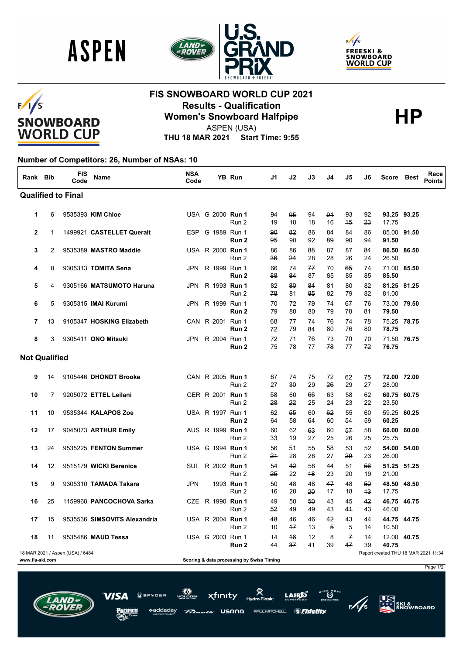





### $F/I/S$ **SNOWBOARD WORLD CUP**

## **FIS SNOWBOARD WORLD CUP 2021 Results - Qualification HP Women's Snowboard Halfpipe**



ASPEN (USA)

**THU 18 MAR 2021 Start Time: 9:55**

#### **Number of Competitors: 26, Number of NSAs: 10**

| Rank Bib             |                | <b>FIS</b><br>Code               | Name                         | <b>NSA</b><br>Code |                         | <b>YB Run</b>                             | J1       | J2         | J3       | J4                   | J5                  | J6         | Score Best                           |             | Race<br><b>Points</b> |
|----------------------|----------------|----------------------------------|------------------------------|--------------------|-------------------------|-------------------------------------------|----------|------------|----------|----------------------|---------------------|------------|--------------------------------------|-------------|-----------------------|
|                      |                | <b>Qualified to Final</b>        |                              |                    |                         |                                           |          |            |          |                      |                     |            |                                      |             |                       |
| 1                    | 6              |                                  | 9535393 KIM Chloe            |                    | USA G 2000 Run 1        | Run 2                                     | 94<br>19 | 95<br>18   | 94<br>18 | 94<br>16             | 93<br>45            | 92<br>23   | 17.75                                | 93.25 93.25 |                       |
| 2                    | 1              |                                  | 1499921 CASTELLET Queralt    |                    | ESP G 1989 Run 1        | Run 2                                     | 90<br>95 | 82<br>90   | 86<br>92 | 84<br>89             | 84<br>90            | 86<br>94   | 91.50                                | 85.00 91.50 |                       |
| 3                    | $\overline{2}$ |                                  | 9535389 MASTRO Maddie        |                    | USA R 2000 Run 1        | Run 2                                     | 86<br>36 | 86<br>24   | 88<br>28 | 87<br>28             | 87<br>26            | 84<br>24   | 26.50                                | 86.50 86.50 |                       |
| 4                    | 8              |                                  | 9305313 TOMITA Sena          |                    | JPN R 1999 Run 1        | Run 2                                     | 66<br>88 | 74<br>84   | 77<br>87 | 70<br>85             | 65<br>85            | 74<br>85   | 85.50                                | 71.00 85.50 |                       |
| 5                    | 4              |                                  | 9305166 MATSUMOTO Haruna     |                    | JPN R 1993 Run 1        | Run 2                                     | 82<br>78 | 80<br>81   | 84<br>85 | 81<br>82             | 80<br>79            | 82<br>82   | 81.00                                | 81.25 81.25 |                       |
| 6                    | 5              |                                  | 9305315 <b>IMAI Kurumi</b>   | JPN.               | R 1999 Run 1            | Run <sub>2</sub>                          | 70<br>79 | 72<br>80   | 79<br>80 | 74<br>79             | 67<br>78            | 76<br>84   | 79.50                                | 73.00 79.50 |                       |
| 7                    | 13             |                                  | 9105347 HOSKING Elizabeth    |                    | CAN R 2001 Run 1        | Run 2                                     | 68<br>72 | 77<br>79   | 74<br>84 | 76<br>80             | 74<br>76            | 78<br>80   | 78.75                                | 75.25 78.75 |                       |
| 8                    | 3              |                                  | 9305411 ONO Mitsuki          |                    | JPN R 2004 Run 1        | Run 2                                     | 72<br>75 | 71<br>78   | 76<br>77 | 73<br>78             | 70<br>77            | 70<br>72   | 76.75                                | 71.50 76.75 |                       |
| <b>Not Qualified</b> |                |                                  |                              |                    |                         |                                           |          |            |          |                      |                     |            |                                      |             |                       |
| 9                    | 14             |                                  | 9105446 DHONDT Brooke        |                    | CAN R 2005 Run 1        | Run 2                                     | 67<br>27 | 74<br>30   | 75<br>29 | 72<br>26             | 62<br>29            | 75<br>27   | 28.00                                | 72.00 72.00 |                       |
| 10                   | 7              |                                  | 9205072 ETTEL Leilani        |                    | GER R 2001 Run 1        | Run 2                                     | 58<br>28 | 60<br>22   | 66<br>25 | 63<br>24             | 58<br>23            | 62<br>22   | 23.50                                | 60.75 60.75 |                       |
| 11                   | 10             |                                  | 9535344 KALAPOS Zoe          |                    | USA R 1997 Run 1        | Run 2                                     | 62<br>64 | 55<br>58   | 60<br>64 | 62<br>60             | 55<br>54            | 60<br>59   | 60.25                                | 59.25 60.25 |                       |
| 12                   | 17             |                                  | 9045073 ARTHUR Emily         |                    | AUS R 1999 <b>Run 1</b> | Run 2                                     | 60<br>33 | 62<br>49   | 63<br>27 | 60<br>25             | 57<br>26            | 58<br>25   | 25.75                                | 60.00 60.00 |                       |
| 13                   | 24             |                                  | 9535225 FENTON Summer        |                    | USA G 1994 Run 1        | Run 2                                     | 56<br>21 | 54<br>28   | 55<br>26 | 58<br>27             | 53<br>29            | 52<br>23   | 26.00                                | 54.00 54.00 |                       |
| 14                   | 12             |                                  | 9515179 WICKI Berenice       | SUI                | R 2002 Run 1            | Run 2                                     | 54<br>25 | 42<br>22   | 56<br>48 | 44<br>23             | 51<br>20            | 56<br>19   | 21.00                                | 51.25 51.25 |                       |
| 15                   | 9              |                                  | 9305310 TAMADA Takara        | <b>JPN</b>         |                         | 1993 Run 1<br>Run 2                       | 50<br>16 | 48<br>20   | 48<br>20 | 47<br>17             | 48<br>18            | 50<br>$+3$ | 17.75                                | 48.50 48.50 |                       |
| 16                   | 25             |                                  | 1159968 PANCOCHOVA Sarka     |                    | CZE R 1990 Run 1        | Run 2                                     | 49<br>52 | 50<br>49   | 50<br>49 | 43<br>43             | 45<br>41            | 42<br>43   | 46.00                                | 46.75 46.75 |                       |
| 17                   | 15             |                                  | 9535536 SIMSOVITS Alexandria |                    | USA R 2004 Run 1        | Run 2                                     | 48<br>10 | 46<br>$+7$ | 46<br>13 | 42<br>$\overline{5}$ | 43<br>5             | 44<br>14   | 10.50                                | 44.75 44.75 |                       |
| 18                   | 11             |                                  | 9535486 MAUD Tessa           |                    | USA G 2003 Run 1        | Run 2                                     | 14<br>44 | 46<br>37   | 12<br>41 | 8<br>39              | $\mathcal{F}$<br>47 | 14<br>39   | 40.75                                | 12.00 40.75 |                       |
|                      |                | 18 MAR 2021 / Aspen (USA) / 6484 |                              |                    |                         |                                           |          |            |          |                      |                     |            | Report created THU 18 MAR 2021 11:34 |             |                       |
| www.fis-ski.com      |                |                                  |                              |                    |                         | Scoring & data processing by Swiss Timing |          |            |          |                      |                     |            |                                      |             |                       |

xfinity

USANA

PAUL MITCHELL

ddadav

Page 1/2

**US**<br>ATT SKI &<br>SNOWBOARD

 $\ddot{\bm{\omega}}^{**}$ 

*SFidelity*